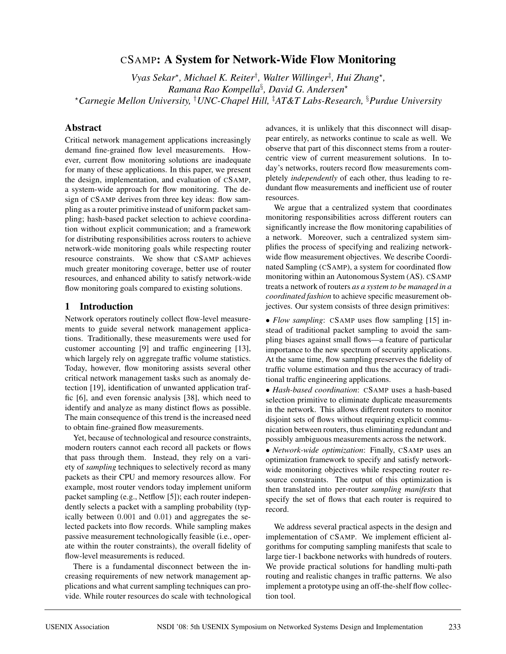# CSAMP**: A System for Network-Wide Flow Monitoring**

*Vyas Sekar*?*, Michael K. Reiter*† *, Walter Willinger*‡ *, Hui Zhang*?*, Ramana Rao Kompella*§ *, David G. Andersen*? ?*Carnegie Mellon University,* † *UNC-Chapel Hill,* ‡ *AT&T Labs-Research,* § *Purdue University*

## **Abstract**

Critical network management applications increasingly demand fine-grained flow level measurements. However, current flow monitoring solutions are inadequate for many of these applications. In this paper, we present the design, implementation, and evaluation of CSAMP, a system-wide approach for flow monitoring. The design of CSAMP derives from three key ideas: flow sampling as a router primitive instead of uniform packet sampling; hash-based packet selection to achieve coordination without explicit communication; and a framework for distributing responsibilities across routers to achieve network-wide monitoring goals while respecting router resource constraints. We show that CSAMP achieves much greater monitoring coverage, better use of router resources, and enhanced ability to satisfy network-wide flow monitoring goals compared to existing solutions.

### **1 Introduction**

Network operators routinely collect flow-level measurements to guide several network management applications. Traditionally, these measurements were used for customer accounting [9] and traffic engineering [13], which largely rely on aggregate traffic volume statistics. Today, however, flow monitoring assists several other critical network management tasks such as anomaly detection [19], identification of unwanted application traffic [6], and even forensic analysis [38], which need to identify and analyze as many distinct flows as possible. The main consequence of this trend is the increased need to obtain fine-grained flow measurements.

Yet, because of technological and resource constraints, modern routers cannot each record all packets or flows that pass through them. Instead, they rely on a variety of *sampling* techniques to selectively record as many packets as their CPU and memory resources allow. For example, most router vendors today implement uniform packet sampling (e.g., Netflow [5]); each router independently selects a packet with a sampling probability (typically between 0.001 and 0.01) and aggregates the selected packets into flow records. While sampling makes passive measurement technologically feasible (i.e., operate within the router constraints), the overall fidelity of flow-level measurements is reduced.

There is a fundamental disconnect between the increasing requirements of new network management applications and what current sampling techniques can provide. While router resources do scale with technological

advances, it is unlikely that this disconnect will disappear entirely, as networks continue to scale as well. We observe that part of this disconnect stems from a routercentric view of current measurement solutions. In today's networks, routers record flow measurements completely *independently* of each other, thus leading to redundant flow measurements and inefficient use of router resources.

We argue that a centralized system that coordinates monitoring responsibilities across different routers can significantly increase the flow monitoring capabilities of a network. Moreover, such a centralized system simplifies the process of specifying and realizing networkwide flow measurement objectives. We describe Coordinated Sampling (CSAMP), a system for coordinated flow monitoring within an Autonomous System (AS). CSAMP treats a network of routers *as a system to be managed in a coordinated fashion* to achieve specific measurement objectives. Our system consists of three design primitives:

• *Flow sampling*: CSAMP uses flow sampling [15] instead of traditional packet sampling to avoid the sampling biases against small flows—a feature of particular importance to the new spectrum of security applications. At the same time, flow sampling preserves the fidelity of traffic volume estimation and thus the accuracy of traditional traffic engineering applications.

• *Hash-based coordination*: CSAMP uses a hash-based selection primitive to eliminate duplicate measurements in the network. This allows different routers to monitor disjoint sets of flows without requiring explicit communication between routers, thus eliminating redundant and possibly ambiguous measurements across the network.

• *Network-wide optimization*: Finally, CSAMP uses an optimization framework to specify and satisfy networkwide monitoring objectives while respecting router resource constraints. The output of this optimization is then translated into per-router *sampling manifests* that specify the set of flows that each router is required to record.

We address several practical aspects in the design and implementation of CSAMP. We implement efficient algorithms for computing sampling manifests that scale to large tier-1 backbone networks with hundreds of routers. We provide practical solutions for handling multi-path routing and realistic changes in traffic patterns. We also implement a prototype using an off-the-shelf flow collection tool.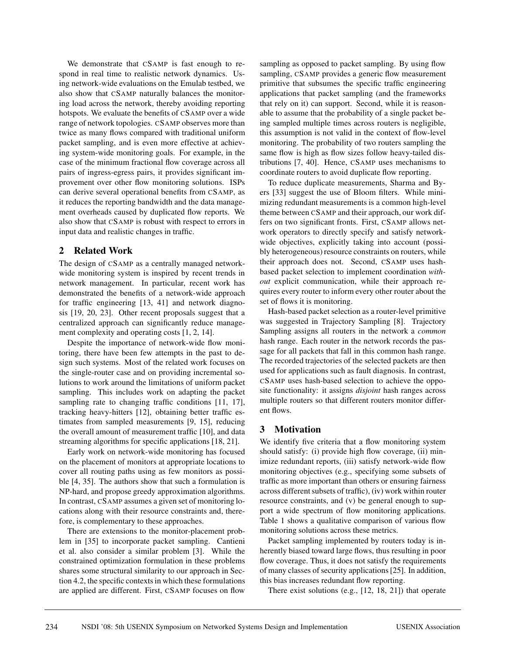We demonstrate that CSAMP is fast enough to respond in real time to realistic network dynamics. Using network-wide evaluations on the Emulab testbed, we also show that CSAMP naturally balances the monitoring load across the network, thereby avoiding reporting hotspots. We evaluate the benefits of CSAMP over a wide range of network topologies. CSAMP observes more than twice as many flows compared with traditional uniform packet sampling, and is even more effective at achieving system-wide monitoring goals. For example, in the case of the minimum fractional flow coverage across all pairs of ingress-egress pairs, it provides significant improvement over other flow monitoring solutions. ISPs can derive several operational benefits from CSAMP, as it reduces the reporting bandwidth and the data management overheads caused by duplicated flow reports. We also show that CSAMP is robust with respect to errors in input data and realistic changes in traffic.

## **2 Related Work**

The design of CSAMP as a centrally managed networkwide monitoring system is inspired by recent trends in network management. In particular, recent work has demonstrated the benefits of a network-wide approach for traffic engineering [13, 41] and network diagnosis [19, 20, 23]. Other recent proposals suggest that a centralized approach can significantly reduce management complexity and operating costs [1, 2, 14].

Despite the importance of network-wide flow monitoring, there have been few attempts in the past to design such systems. Most of the related work focuses on the single-router case and on providing incremental solutions to work around the limitations of uniform packet sampling. This includes work on adapting the packet sampling rate to changing traffic conditions [11, 17], tracking heavy-hitters [12], obtaining better traffic estimates from sampled measurements [9, 15], reducing the overall amount of measurement traffic [10], and data streaming algorithms for specific applications [18, 21].

Early work on network-wide monitoring has focused on the placement of monitors at appropriate locations to cover all routing paths using as few monitors as possible [4, 35]. The authors show that such a formulation is NP-hard, and propose greedy approximation algorithms. In contrast, CSAMP assumes a given set of monitoring locations along with their resource constraints and, therefore, is complementary to these approaches.

There are extensions to the monitor-placement problem in [35] to incorporate packet sampling. Cantieni et al. also consider a similar problem [3]. While the constrained optimization formulation in these problems shares some structural similarity to our approach in Section 4.2, the specific contexts in which these formulations are applied are different. First, CSAMP focuses on flow sampling as opposed to packet sampling. By using flow sampling, CSAMP provides a generic flow measurement primitive that subsumes the specific traffic engineering applications that packet sampling (and the frameworks that rely on it) can support. Second, while it is reasonable to assume that the probability of a single packet being sampled multiple times across routers is negligible, this assumption is not valid in the context of flow-level monitoring. The probability of two routers sampling the same flow is high as flow sizes follow heavy-tailed distributions [7, 40]. Hence, CSAMP uses mechanisms to coordinate routers to avoid duplicate flow reporting.

To reduce duplicate measurements, Sharma and Byers [33] suggest the use of Bloom filters. While minimizing redundant measurements is a common high-level theme between CSAMP and their approach, our work differs on two significant fronts. First, CSAMP allows network operators to directly specify and satisfy networkwide objectives, explicitly taking into account (possibly heterogeneous) resource constraints on routers, while their approach does not. Second, CSAMP uses hashbased packet selection to implement coordination *without* explicit communication, while their approach requires every router to inform every other router about the set of flows it is monitoring.

Hash-based packet selection as a router-level primitive was suggested in Trajectory Sampling [8]. Trajectory Sampling assigns all routers in the network a *common* hash range. Each router in the network records the passage for all packets that fall in this common hash range. The recorded trajectories of the selected packets are then used for applications such as fault diagnosis. In contrast, CSAMP uses hash-based selection to achieve the opposite functionality: it assigns *disjoint* hash ranges across multiple routers so that different routers monitor different flows.

## **3 Motivation**

We identify five criteria that a flow monitoring system should satisfy: (i) provide high flow coverage, (ii) minimize redundant reports, (iii) satisfy network-wide flow monitoring objectives (e.g., specifying some subsets of traffic as more important than others or ensuring fairness across different subsets of traffic), (iv) work within router resource constraints, and (v) be general enough to support a wide spectrum of flow monitoring applications. Table 1 shows a qualitative comparison of various flow monitoring solutions across these metrics.

Packet sampling implemented by routers today is inherently biased toward large flows, thus resulting in poor flow coverage. Thus, it does not satisfy the requirements of many classes of security applications [25]. In addition, this bias increases redundant flow reporting.

There exist solutions (e.g., [12, 18, 21]) that operate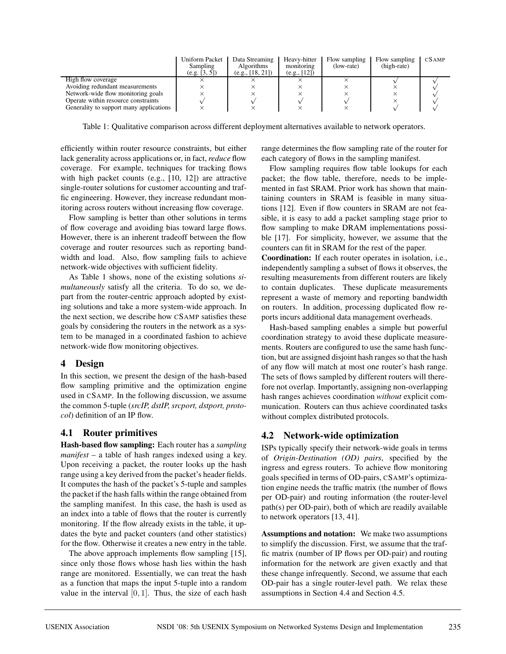|                                         | Uniform Packet<br>Sampling<br>(e.g. [3, 5]) | Data Streaming<br>Algorithms<br>(e.g., [18, 21]) | Heavy-hitter<br>monitoring<br>(e.g., [12]) | Flow sampling<br>(low-rate) | Flow sampling<br>(high-rate) | CSAMP |
|-----------------------------------------|---------------------------------------------|--------------------------------------------------|--------------------------------------------|-----------------------------|------------------------------|-------|
| High flow coverage                      |                                             |                                                  |                                            |                             |                              |       |
| Avoiding redundant measurements         |                                             |                                                  |                                            |                             |                              |       |
| Network-wide flow monitoring goals      |                                             |                                                  |                                            |                             |                              |       |
| Operate within resource constraints     |                                             |                                                  |                                            |                             |                              |       |
| Generality to support many applications |                                             |                                                  |                                            |                             |                              |       |

Table 1: Qualitative comparison across different deployment alternatives available to network operators.

efficiently within router resource constraints, but either lack generality across applications or, in fact, *reduce* flow coverage. For example, techniques for tracking flows with high packet counts (e.g., [10, 12]) are attractive single-router solutions for customer accounting and traffic engineering. However, they increase redundant monitoring across routers without increasing flow coverage.

Flow sampling is better than other solutions in terms of flow coverage and avoiding bias toward large flows. However, there is an inherent tradeoff between the flow coverage and router resources such as reporting bandwidth and load. Also, flow sampling fails to achieve network-wide objectives with sufficient fidelity.

As Table 1 shows, none of the existing solutions *simultaneously* satisfy all the criteria. To do so, we depart from the router-centric approach adopted by existing solutions and take a more system-wide approach. In the next section, we describe how CSAMP satisfies these goals by considering the routers in the network as a system to be managed in a coordinated fashion to achieve network-wide flow monitoring objectives.

## **4 Design**

In this section, we present the design of the hash-based flow sampling primitive and the optimization engine used in CSAMP. In the following discussion, we assume the common 5-tuple (*srcIP, dstIP, srcport, dstport, protocol*) definition of an IP flow.

# **4.1 Router primitives**

**Hash-based flow sampling:** Each router has a *sampling manifest* – a table of hash ranges indexed using a key. Upon receiving a packet, the router looks up the hash range using a key derived from the packet's header fields. It computes the hash of the packet's 5-tuple and samples the packet if the hash falls within the range obtained from the sampling manifest. In this case, the hash is used as an index into a table of flows that the router is currently monitoring. If the flow already exists in the table, it updates the byte and packet counters (and other statistics) for the flow. Otherwise it creates a new entry in the table.

The above approach implements flow sampling [15], since only those flows whose hash lies within the hash range are monitored. Essentially, we can treat the hash as a function that maps the input 5-tuple into a random value in the interval  $[0, 1]$ . Thus, the size of each hash range determines the flow sampling rate of the router for each category of flows in the sampling manifest.

Flow sampling requires flow table lookups for each packet; the flow table, therefore, needs to be implemented in fast SRAM. Prior work has shown that maintaining counters in SRAM is feasible in many situations [12]. Even if flow counters in SRAM are not feasible, it is easy to add a packet sampling stage prior to flow sampling to make DRAM implementations possible [17]. For simplicity, however, we assume that the counters can fit in SRAM for the rest of the paper.

**Coordination:** If each router operates in isolation, i.e., independently sampling a subset of flows it observes, the resulting measurements from different routers are likely to contain duplicates. These duplicate measurements represent a waste of memory and reporting bandwidth on routers. In addition, processing duplicated flow reports incurs additional data management overheads.

Hash-based sampling enables a simple but powerful coordination strategy to avoid these duplicate measurements. Routers are configured to use the same hash function, but are assigned disjoint hash ranges so that the hash of any flow will match at most one router's hash range. The sets of flows sampled by different routers will therefore not overlap. Importantly, assigning non-overlapping hash ranges achieves coordination *without* explicit communication. Routers can thus achieve coordinated tasks without complex distributed protocols.

# **4.2 Network-wide optimization**

ISPs typically specify their network-wide goals in terms of *Origin-Destination (OD) pairs*, specified by the ingress and egress routers. To achieve flow monitoring goals specified in terms of OD-pairs, CSAMP's optimization engine needs the traffic matrix (the number of flows per OD-pair) and routing information (the router-level path(s) per OD-pair), both of which are readily available to network operators [13, 41].

**Assumptions and notation:** We make two assumptions to simplify the discussion. First, we assume that the traffic matrix (number of IP flows per OD-pair) and routing information for the network are given exactly and that these change infrequently. Second, we assume that each OD-pair has a single router-level path. We relax these assumptions in Section 4.4 and Section 4.5.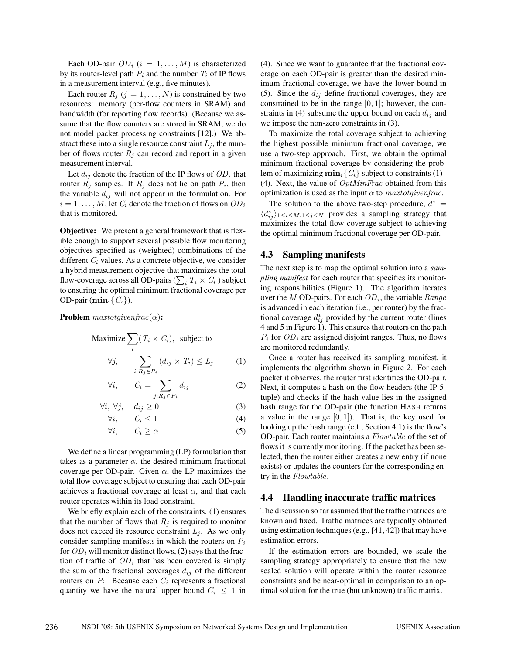Each OD-pair  $OD_i$  ( $i = 1, ..., M$ ) is characterized by its router-level path  $P_i$  and the number  $T_i$  of IP flows in a measurement interval (e.g., five minutes).

Each router  $R_j$   $(j = 1, ..., N)$  is constrained by two resources: memory (per-flow counters in SRAM) and bandwidth (for reporting flow records). (Because we assume that the flow counters are stored in SRAM, we do not model packet processing constraints [12].) We abstract these into a single resource constraint  $L_j$ , the number of flows router  $R_j$  can record and report in a given measurement interval.

Let  $d_{ij}$  denote the fraction of the IP flows of  $OD_i$  that router  $R_j$  samples. If  $R_j$  does not lie on path  $P_i$ , then the variable  $d_{ij}$  will not appear in the formulation. For  $i = 1, \ldots, M$ , let  $C_i$  denote the fraction of flows on  $OD_i$ that is monitored.

**Objective:** We present a general framework that is flexible enough to support several possible flow monitoring objectives specified as (weighted) combinations of the different  $C_i$  values. As a concrete objective, we consider a hybrid measurement objective that maximizes the total flow-coverage across all OD-pairs ( $\sum_i\,T_i\times C_i$  ) subject to ensuring the optimal minimum fractional coverage per OD-pair  $(\min_i \{C_i\})$ .

**Problem** maxtotgivenfrac(α)**:**

Maximize 
$$
\sum_{i} (T_i \times C_i)
$$
, subject to  
\n $\forall j, \sum_{i: R_j \in P_i} (d_{ij} \times T_i) \le L_j$  (1)

$$
\forall i, \qquad C_i = \sum_{j: R_j \in P_i} d_{ij} \tag{2}
$$

$$
\forall i, \ \forall j, \quad d_{ij} \ge 0 \tag{3}
$$

$$
\forall i, \qquad C_i \leq 1 \tag{4}
$$

$$
\forall i, \qquad C_i \ge \alpha \tag{5}
$$

We define a linear programming (LP) formulation that takes as a parameter  $\alpha$ , the desired minimum fractional coverage per OD-pair. Given  $\alpha$ , the LP maximizes the total flow coverage subject to ensuring that each OD-pair achieves a fractional coverage at least  $\alpha$ , and that each router operates within its load constraint.

We briefly explain each of the constraints. (1) ensures that the number of flows that  $R_j$  is required to monitor does not exceed its resource constraint  $L_i$ . As we only consider sampling manifests in which the routers on  $P_i$ for  $OD_i$  will monitor distinct flows, (2) says that the fraction of traffic of  $OD<sub>i</sub>$  that has been covered is simply the sum of the fractional coverages  $d_{ij}$  of the different routers on  $P_i$ . Because each  $C_i$  represents a fractional quantity we have the natural upper bound  $C_i \leq 1$  in (4). Since we want to guarantee that the fractional coverage on each OD-pair is greater than the desired minimum fractional coverage, we have the lower bound in (5). Since the  $d_{ij}$  define fractional coverages, they are constrained to be in the range  $[0, 1]$ ; however, the constraints in (4) subsume the upper bound on each  $d_{ij}$  and we impose the non-zero constraints in (3).

To maximize the total coverage subject to achieving the highest possible minimum fractional coverage, we use a two-step approach. First, we obtain the optimal minimum fractional coverage by considering the problem of maximizing  $\min_i \{C_i\}$  subject to constraints (1)– (4). Next, the value of  $OptMinFrac$  obtained from this optimization is used as the input  $\alpha$  to *maxtotgivenfrac*.

The solution to the above two-step procedure,  $d^*$  =  $\langle d_{ij}^* \rangle_{1 \leq i \leq M, 1 \leq j \leq N}$  provides a sampling strategy that maximizes the total flow coverage subject to achieving the optimal minimum fractional coverage per OD-pair.

#### **4.3 Sampling manifests**

The next step is to map the optimal solution into a *sampling manifest* for each router that specifies its monitoring responsibilities (Figure 1). The algorithm iterates over the M OD-pairs. For each  $OD<sub>i</sub>$ , the variable *Range* is advanced in each iteration (i.e., per router) by the fractional coverage  $d_{ij}^*$  provided by the current router (lines 4 and 5 in Figure 1). This ensures that routers on the path  $P_i$  for  $OD_i$  are assigned disjoint ranges. Thus, no flows are monitored redundantly.

Once a router has received its sampling manifest, it implements the algorithm shown in Figure 2. For each packet it observes, the router first identifies the OD-pair. Next, it computes a hash on the flow headers (the IP 5 tuple) and checks if the hash value lies in the assigned hash range for the OD-pair (the function HASH returns a value in the range  $[0, 1]$ . That is, the key used for looking up the hash range (c.f., Section 4.1) is the flow's OD-pair. Each router maintains a Flowtable of the set of flows it is currently monitoring. If the packet has been selected, then the router either creates a new entry (if none exists) or updates the counters for the corresponding entry in the Flowtable.

#### **4.4 Handling inaccurate traffic matrices**

The discussion so far assumed that the traffic matrices are known and fixed. Traffic matrices are typically obtained using estimation techniques (e.g., [41, 42]) that may have estimation errors.

If the estimation errors are bounded, we scale the sampling strategy appropriately to ensure that the new scaled solution will operate within the router resource constraints and be near-optimal in comparison to an optimal solution for the true (but unknown) traffic matrix.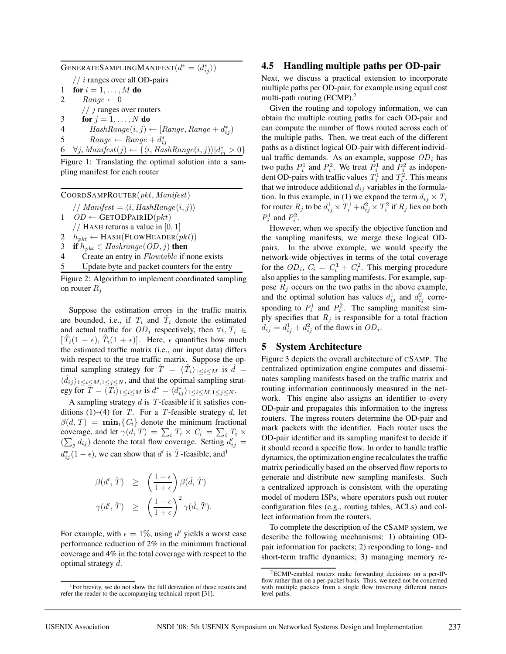GENERATESAMPLINGMANIFEST $(d^* = \langle d_{ij}^* \rangle)$  $//$  *i* ranges over all OD-pairs 1 **for**  $i = 1, ..., M$  **do** 2  $Range \leftarrow 0$  $// j$  ranges over routers 3 **for**  $j = 1, \ldots, N$  **do** 4  $HashRange(i, j) \leftarrow [Range, Range + d_{ij}^*)$ 5 Range ← Range +  $d_{ij}^*$ <br>6  $\forall j$ , Manifest $(j) \leftarrow \{ \langle i, HashRange(i, j) \rangle | d_{ij}^* > 0 \}$ 

Figure 1: Translating the optimal solution into a sampling manifest for each router

COORDSAMPROUTER(pkt, Manifest) // Manifest =  $\langle i, HashRange(i, j) \rangle$  $1$   $OD \leftarrow$  GETODPAIRID $(\text{pkt})$ // HASH returns a value in  $[0, 1]$ 2  $h_{pkt} \leftarrow$  HASH(FLOWHEADER( $pkt$ )) 3 **if**  $h_{pkt} \in$  Hashrange( $OD, j$ ) **then** Create an entry in *Flowtable* if none exists

5 Update byte and packet counters for the entry

Figure 2: Algorithm to implement coordinated sampling on router  $R_i$ 

Suppose the estimation errors in the traffic matrix are bounded, i.e., if  $T_i$  and  $\hat{T}_i$  denote the estimated and actual traffic for  $OD_i$  respectively, then  $\forall i, T_i \in$  $[T_i(1 - \epsilon), T_i(1 + \epsilon)]$ . Here,  $\epsilon$  quantifies how much the estimated traffic matrix (i.e., our input data) differs with respect to the true traffic matrix. Suppose the optimal sampling strategy for  $\hat{T} = \langle \hat{T}_i \rangle_{1 \leq i \leq M}$  is  $\hat{d} =$  $\langle \hat{d}_{ij} \rangle_{1 \leq i \leq M, 1 \leq j \leq N}$ , and that the optimal sampling strategy for  $\overline{T} = \langle \overline{T_i} \rangle_{1 \le i \le M}$  is  $d^* = \langle d^*_{ij} \rangle_{1 \le i \le M, 1 \le j \le N}$ .

A sampling strategy  $d$  is  $T$ -feasible if it satisfies conditions (1)–(4) for T. For a T-feasible strategy d, let  $\beta(d, T) = \min_i \{C_i\}$  denote the minimum fractional coverage, and let  $\gamma(d, T) = \sum_i T_i \times C_i = \sum_i T_i \times$  $(\sum_j d_{ij})$  denote the total flow coverage. Setting  $d'_{ij} =$  $d_{ij}^*(1 - \epsilon)$ , we can show that d' is  $\hat{T}$ -feasible, and<sup>1</sup>

$$
\begin{array}{rcl}\n\beta(d',\hat T) & \geq & \left(\frac{1-\epsilon}{1+\epsilon}\right)\beta(\hat d,\hat T) \\
\gamma(d',\hat T) & \geq & \left(\frac{1-\epsilon}{1+\epsilon}\right)^2\gamma(\hat d,\hat T).\n\end{array}
$$

For example, with  $\epsilon = 1\%$ , using d' yields a worst case performance reduction of 2% in the minimum fractional coverage and 4% in the total coverage with respect to the optimal strategy  $\hat{d}$ .

#### **4.5 Handling multiple paths per OD-pair**

Next, we discuss a practical extension to incorporate multiple paths per OD-pair, for example using equal cost multi-path routing  $(ECMP)^2$ 

Given the routing and topology information, we can obtain the multiple routing paths for each OD-pair and can compute the number of flows routed across each of the multiple paths. Then, we treat each of the different paths as a distinct logical OD-pair with different individual traffic demands. As an example, suppose  $OD<sub>i</sub>$  has two paths  $P_i^1$  and  $P_i^2$ . We treat  $P_i^1$  and  $P_i^2$  as independent OD-pairs with traffic values  $T_i^1$  and  $T_i^2$ . This means that we introduce additional  $d_{ij}$  variables in the formulation. In this example, in (1) we expand the term  $d_{ij} \times T_i$ for router  $R_j$  to be  $d_{ij}^1\times T_i^1+d_{ij}^2\times T_i^2$  if  $R_j$  lies on both  $P_i^1$  and  $P_i^2$ .

However, when we specify the objective function and the sampling manifests, we merge these logical ODpairs. In the above example, we would specify the network-wide objectives in terms of the total coverage for the  $OD_i$ ,  $C_i = C_i^1 + C_i^2$ . This merging procedure also applies to the sampling manifests. For example, suppose  $R_i$  occurs on the two paths in the above example, and the optimal solution has values  $d_{ij}^1$  and  $d_{ij}^2$  corresponding to  $P_i^1$  and  $P_i^2$ . The sampling manifest simply specifies that  $R_j$  is responsible for a total fraction  $d_{ij} = d_{ij}^1 + d_{ij}^2$  of the flows in  $OD_i$ .

## **5 System Architecture**

Figure 3 depicts the overall architecture of CSAMP. The centralized optimization engine computes and disseminates sampling manifests based on the traffic matrix and routing information continuously measured in the network. This engine also assigns an identifier to every OD-pair and propagates this information to the ingress routers. The ingress routers determine the OD-pair and mark packets with the identifier. Each router uses the OD-pair identifier and its sampling manifest to decide if it should record a specific flow. In order to handle traffic dynamics, the optimization engine recalculates the traffic matrix periodically based on the observed flow reports to generate and distribute new sampling manifests. Such a centralized approach is consistent with the operating model of modern ISPs, where operators push out router configuration files (e.g., routing tables, ACLs) and collect information from the routers.

To complete the description of the CSAMP system, we describe the following mechanisms: 1) obtaining ODpair information for packets; 2) responding to long- and short-term traffic dynamics; 3) managing memory re-

<sup>&</sup>lt;sup>1</sup>For brevity, we do not show the full derivation of these results and refer the reader to the accompanying technical report [31].

<sup>2</sup>ECMP-enabled routers make forwarding decisions on a per-IPflow rather than on a per-packet basis. Thus, we need not be concerned with multiple packets from a single flow traversing different routerlevel paths.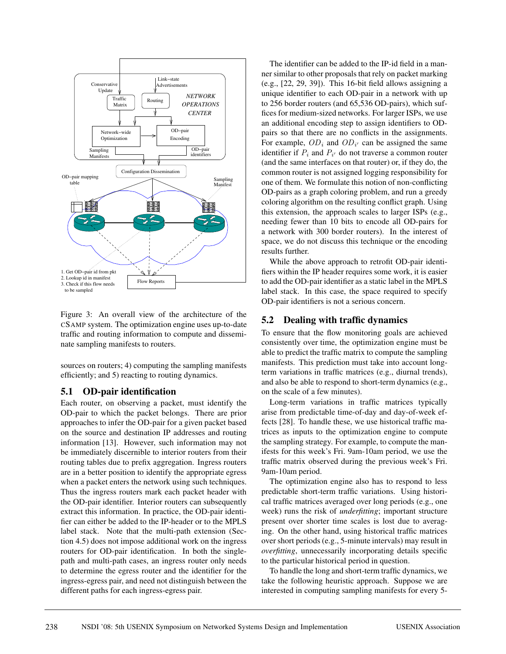

Figure 3: An overall view of the architecture of the CSAMP system. The optimization engine uses up-to-date traffic and routing information to compute and disseminate sampling manifests to routers.

sources on routers; 4) computing the sampling manifests efficiently; and 5) reacting to routing dynamics.

### **5.1 OD-pair identification**

Each router, on observing a packet, must identify the OD-pair to which the packet belongs. There are prior approaches to infer the OD-pair for a given packet based on the source and destination IP addresses and routing information [13]. However, such information may not be immediately discernible to interior routers from their routing tables due to prefix aggregation. Ingress routers are in a better position to identify the appropriate egress when a packet enters the network using such techniques. Thus the ingress routers mark each packet header with the OD-pair identifier. Interior routers can subsequently extract this information. In practice, the OD-pair identifier can either be added to the IP-header or to the MPLS label stack. Note that the multi-path extension (Section 4.5) does not impose additional work on the ingress routers for OD-pair identification. In both the singlepath and multi-path cases, an ingress router only needs to determine the egress router and the identifier for the ingress-egress pair, and need not distinguish between the different paths for each ingress-egress pair.

The identifier can be added to the IP-id field in a manner similar to other proposals that rely on packet marking (e.g., [22, 29, 39]). This 16-bit field allows assigning a unique identifier to each OD-pair in a network with up to 256 border routers (and 65,536 OD-pairs), which suffices for medium-sized networks. For larger ISPs, we use an additional encoding step to assign identifiers to ODpairs so that there are no conflicts in the assignments. For example,  $OD_i$  and  $OD_{i'}$  can be assigned the same identifier if  $P_i$  and  $P_{i'}$  do not traverse a common router (and the same interfaces on that router) or, if they do, the common router is not assigned logging responsibility for one of them. We formulate this notion of non-conflicting OD-pairs as a graph coloring problem, and run a greedy coloring algorithm on the resulting conflict graph. Using this extension, the approach scales to larger ISPs (e.g., needing fewer than 10 bits to encode all OD-pairs for a network with 300 border routers). In the interest of space, we do not discuss this technique or the encoding results further.

While the above approach to retrofit OD-pair identifiers within the IP header requires some work, it is easier to add the OD-pair identifier as a static label in the MPLS label stack. In this case, the space required to specify OD-pair identifiers is not a serious concern.

### **5.2 Dealing with traffic dynamics**

To ensure that the flow monitoring goals are achieved consistently over time, the optimization engine must be able to predict the traffic matrix to compute the sampling manifests. This prediction must take into account longterm variations in traffic matrices (e.g., diurnal trends), and also be able to respond to short-term dynamics (e.g., on the scale of a few minutes).

Long-term variations in traffic matrices typically arise from predictable time-of-day and day-of-week effects [28]. To handle these, we use historical traffic matrices as inputs to the optimization engine to compute the sampling strategy. For example, to compute the manifests for this week's Fri. 9am-10am period, we use the traffic matrix observed during the previous week's Fri. 9am-10am period.

The optimization engine also has to respond to less predictable short-term traffic variations. Using historical traffic matrices averaged over long periods (e.g., one week) runs the risk of *underfitting*; important structure present over shorter time scales is lost due to averaging. On the other hand, using historical traffic matrices over short periods (e.g., 5-minute intervals) may result in *overfitting*, unnecessarily incorporating details specific to the particular historical period in question.

To handle the long and short-term traffic dynamics, we take the following heuristic approach. Suppose we are interested in computing sampling manifests for every 5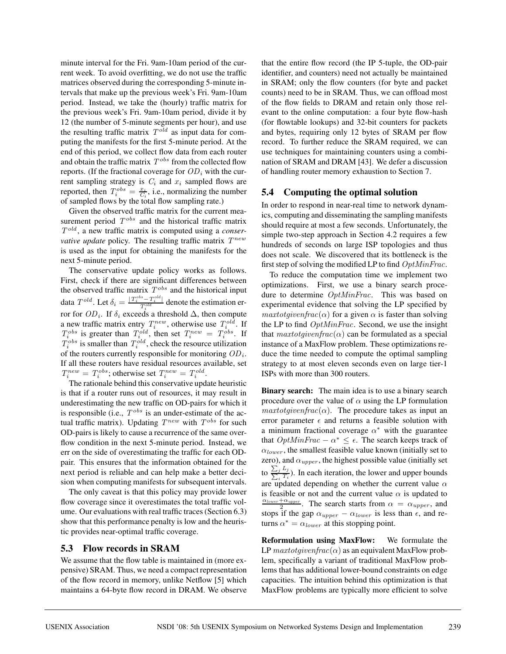minute interval for the Fri. 9am-10am period of the current week. To avoid overfitting, we do not use the traffic matrices observed during the corresponding 5-minute intervals that make up the previous week's Fri. 9am-10am period. Instead, we take the (hourly) traffic matrix for the previous week's Fri. 9am-10am period, divide it by 12 (the number of 5-minute segments per hour), and use the resulting traffic matrix  $T^{old}$  as input data for computing the manifests for the first 5-minute period. At the end of this period, we collect flow data from each router and obtain the traffic matrix  $T^{obs}$  from the collected flow reports. (If the fractional coverage for  $OD<sub>i</sub>$  with the current sampling strategy is  $C_i$  and  $x_i$  sampled flows are reported, then  $T_i^{obs} = \frac{x_i}{C_i}$ , i.e., normalizing the number of sampled flows by the total flow sampling rate.)

Given the observed traffic matrix for the current measurement period  $T^{obs}$  and the historical traffic matrix Told , a new traffic matrix is computed using a *conservative update* policy. The resulting traffic matrix  $T^{new}$ is used as the input for obtaining the manifests for the next 5-minute period.

The conservative update policy works as follows. First, check if there are significant differences between the observed traffic matrix  $T^{obs}$  and the historical input data  $T^{old}$ . Let  $\delta_i = \frac{|T^{obs}_i - T^{old}_i|}{T^{old}_i}$  denote the estimation error for  $OD_i$ . If  $\delta_i$  exceeds a threshold  $\Delta$ , then compute a new traffic matrix entry  $T_i^{new}$ , otherwise use  $T_i^{old}$ . If  $T_i^{obs}$  is greater than  $T_i^{old}$ , then set  $T_i^{new} = T_i^{obs}$ . If  $T_i^{obs}$  is smaller than  $T_i^{old}$ , check the resource utilization of the routers currently responsible for monitoring  $OD<sub>i</sub>$ . If all these routers have residual resources available, set  $T_i^{new} = T_i^{obs}$ ; otherwise set  $T_i^{new} = T_i^{old}$ .

The rationale behind this conservative update heuristic is that if a router runs out of resources, it may result in underestimating the new traffic on OD-pairs for which it is responsible (i.e.,  $T^{obs}$  is an under-estimate of the actual traffic matrix). Updating  $T^{new}$  with  $T^{obs}$  for such OD-pairs is likely to cause a recurrence of the same overflow condition in the next 5-minute period. Instead, we err on the side of overestimating the traffic for each ODpair. This ensures that the information obtained for the next period is reliable and can help make a better decision when computing manifests for subsequent intervals.

The only caveat is that this policy may provide lower flow coverage since it overestimates the total traffic volume. Our evaluations with real traffic traces (Section 6.3) show that this performance penalty is low and the heuristic provides near-optimal traffic coverage.

### **5.3 Flow records in SRAM**

We assume that the flow table is maintained in (more expensive) SRAM. Thus, we need a compact representation of the flow record in memory, unlike Netflow [5] which maintains a 64-byte flow record in DRAM. We observe that the entire flow record (the IP 5-tuple, the OD-pair identifier, and counters) need not actually be maintained in SRAM; only the flow counters (for byte and packet counts) need to be in SRAM. Thus, we can offload most of the flow fields to DRAM and retain only those relevant to the online computation: a four byte flow-hash (for flowtable lookups) and 32-bit counters for packets and bytes, requiring only 12 bytes of SRAM per flow record. To further reduce the SRAM required, we can use techniques for maintaining counters using a combination of SRAM and DRAM [43]. We defer a discussion of handling router memory exhaustion to Section 7.

## **5.4 Computing the optimal solution**

In order to respond in near-real time to network dynamics, computing and disseminating the sampling manifests should require at most a few seconds. Unfortunately, the simple two-step approach in Section 4.2 requires a few hundreds of seconds on large ISP topologies and thus does not scale. We discovered that its bottleneck is the first step of solving the modified LP to find OptMinFrac.

To reduce the computation time we implement two optimizations. First, we use a binary search procedure to determine  $OptMinFrac$ . This was based on experimental evidence that solving the LP specified by  $maxtot given frac(\alpha)$  for a given  $\alpha$  is faster than solving the LP to find  $OptMinFrac$ . Second, we use the insight that  $\textit{maxtot}$  given  $\textit{frac}(\alpha)$  can be formulated as a special instance of a MaxFlow problem. These optimizations reduce the time needed to compute the optimal sampling strategy to at most eleven seconds even on large tier-1 ISPs with more than 300 routers.

**Binary search:** The main idea is to use a binary search procedure over the value of  $\alpha$  using the LP formulation  $maxtotgivenfrac(\alpha)$ . The procedure takes as input an error parameter  $\epsilon$  and returns a feasible solution with a minimum fractional coverage  $\alpha^*$  with the guarantee that  $OptMinFrac - \alpha^* \leq \epsilon$ . The search keeps track of  $\alpha_{lower}$ , the smallest feasible value known (initially set to zero), and  $\alpha_{upper}$ , the highest possible value (initially set to  $\frac{\sum_j L_j}{\sum_i T_i}$ ). In each iteration, the lower and upper bounds are updated depending on whether the current value  $\alpha$ is feasible or not and the current value  $\alpha$  is updated to  $\frac{\alpha_{lower}+\alpha_{upper}}{2}$ . The search starts from  $\alpha = \alpha_{upper}$ , and stops if the gap  $\alpha_{upper} - \alpha_{lower}$  is less than  $\epsilon$ , and returns  $\alpha^* = \alpha_{lower}$  at this stopping point.

**Reformulation using MaxFlow:** We formulate the LP maxtotgiven frac $(\alpha)$  as an equivalent MaxFlow problem, specifically a variant of traditional MaxFlow problems that has additional lower-bound constraints on edge capacities. The intuition behind this optimization is that MaxFlow problems are typically more efficient to solve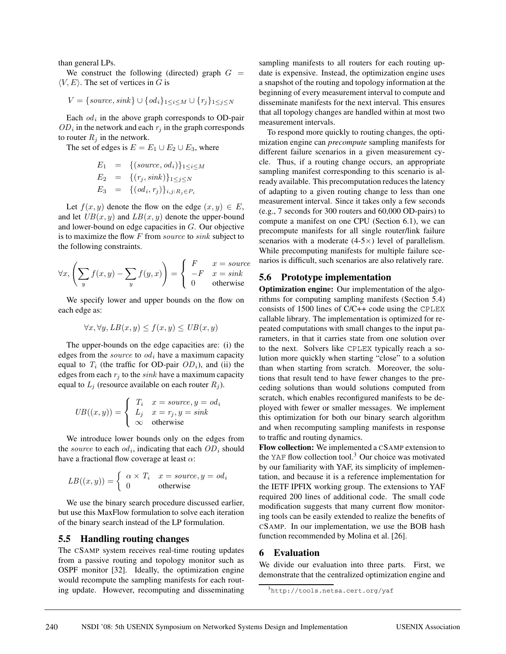than general LPs.

We construct the following (directed) graph  $G =$  $\langle V, E \rangle$ . The set of vertices in G is

$$
V = \{source, sink\} \cup \{od_i\}_{1 \leq i \leq M} \cup \{r_j\}_{1 \leq j \leq N}
$$

Each  $od_i$  in the above graph corresponds to OD-pair  $OD<sub>i</sub>$  in the network and each  $r<sub>i</sub>$  in the graph corresponds to router  $R_i$  in the network.

The set of edges is  $E = E_1 \cup E_2 \cup E_3$ , where

$$
E_1 = \{(source, od_i)\}_{1 \le i \le M}
$$
  
\n
$$
E_2 = \{(r_j, sink)\}_{1 \le j \le N}
$$
  
\n
$$
E_3 = \{(od_i, r_j)\}_{i,j:R_j \in P_i}
$$

Let  $f(x, y)$  denote the flow on the edge  $(x, y) \in E$ , and let  $UB(x, y)$  and  $LB(x, y)$  denote the upper-bound and lower-bound on edge capacities in G. Our objective is to maximize the flow  $F$  from source to sink subject to the following constraints.

$$
\forall x, \left(\sum_{y} f(x, y) - \sum_{y} f(y, x)\right) = \begin{cases} F & x = source \\ -F & x = sink \\ 0 & otherwise \end{cases}
$$

We specify lower and upper bounds on the flow on each edge as:

$$
\forall x, \forall y, LB(x, y) \le f(x, y) \le UB(x, y)
$$

The upper-bounds on the edge capacities are: (i) the edges from the *source* to  $od_i$  have a maximum capacity equal to  $T_i$  (the traffic for OD-pair  $OD_i$ ), and (ii) the edges from each  $r_i$  to the sink have a maximum capacity equal to  $L_j$  (resource available on each router  $R_j$ ).

$$
UB((x, y)) = \begin{cases} T_i & x = source, y = od_i \\ L_j & x = r_j, y = sink \\ \infty & \text{otherwise} \end{cases}
$$

We introduce lower bounds only on the edges from the source to each  $od_i$ , indicating that each  $OD_i$  should have a fractional flow coverage at least  $\alpha$ :

$$
LB((x, y)) = \begin{cases} \alpha \times T_i & x = source, y = od_i \\ 0 & \text{otherwise} \end{cases}
$$

We use the binary search procedure discussed earlier, but use this MaxFlow formulation to solve each iteration of the binary search instead of the LP formulation.

#### **5.5 Handling routing changes**

The CSAMP system receives real-time routing updates from a passive routing and topology monitor such as OSPF monitor [32]. Ideally, the optimization engine would recompute the sampling manifests for each routing update. However, recomputing and disseminating

sampling manifests to all routers for each routing update is expensive. Instead, the optimization engine uses a snapshot of the routing and topology information at the beginning of every measurement interval to compute and disseminate manifests for the next interval. This ensures that all topology changes are handled within at most two measurement intervals.

To respond more quickly to routing changes, the optimization engine can *precompute* sampling manifests for different failure scenarios in a given measurement cycle. Thus, if a routing change occurs, an appropriate sampling manifest corresponding to this scenario is already available. This precomputation reduces the latency of adapting to a given routing change to less than one measurement interval. Since it takes only a few seconds (e.g., 7 seconds for 300 routers and 60,000 OD-pairs) to compute a manifest on one CPU (Section 6.1), we can precompute manifests for all single router/link failure scenarios with a moderate  $(4-5\times)$  level of parallelism. While precomputing manifests for multiple failure scenarios is difficult, such scenarios are also relatively rare.

#### **5.6 Prototype implementation**

**Optimization engine:** Our implementation of the algorithms for computing sampling manifests (Section 5.4) consists of 1500 lines of C/C++ code using the CPLEX callable library. The implementation is optimized for repeated computations with small changes to the input parameters, in that it carries state from one solution over to the next. Solvers like CPLEX typically reach a solution more quickly when starting "close" to a solution than when starting from scratch. Moreover, the solutions that result tend to have fewer changes to the preceding solutions than would solutions computed from scratch, which enables reconfigured manifests to be deployed with fewer or smaller messages. We implement this optimization for both our binary search algorithm and when recomputing sampling manifests in response to traffic and routing dynamics.

**Flow collection:** We implemented a CSAMP extension to the YAF flow collection tool.<sup>3</sup> Our choice was motivated by our familiarity with YAF, its simplicity of implementation, and because it is a reference implementation for the IETF IPFIX working group. The extensions to YAF required 200 lines of additional code. The small code modification suggests that many current flow monitoring tools can be easily extended to realize the benefits of CSAMP. In our implementation, we use the BOB hash function recommended by Molina et al. [26].

#### **6 Evaluation**

We divide our evaluation into three parts. First, we demonstrate that the centralized optimization engine and

<sup>3</sup>http://tools.netsa.cert.org/yaf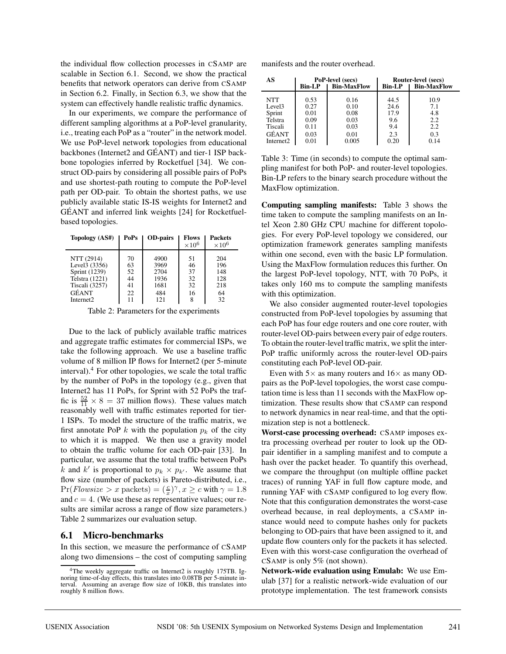the individual flow collection processes in CSAMP are scalable in Section 6.1. Second, we show the practical benefits that network operators can derive from CSAMP in Section 6.2. Finally, in Section 6.3, we show that the system can effectively handle realistic traffic dynamics.

In our experiments, we compare the performance of different sampling algorithms at a PoP-level granularity, i.e., treating each PoP as a "router" in the network model. We use PoP-level network topologies from educational backbones (Internet2 and GEANT) and tier-1 ISP back- ´ bone topologies inferred by Rocketfuel [34]. We construct OD-pairs by considering all possible pairs of PoPs and use shortest-path routing to compute the PoP-level path per OD-pair. To obtain the shortest paths, we use publicly available static IS-IS weights for Internet2 and GEANT and inferred link weights [24] for Rocketfuel- ´ based topologies.

| Topology (AS#)                                                                            | PoPs                             | <b>OD-pairs</b>                             | <b>Flows</b><br>$\times 10^6$    | <b>Packets</b><br>$\times 10^6$       |
|-------------------------------------------------------------------------------------------|----------------------------------|---------------------------------------------|----------------------------------|---------------------------------------|
| NTT (2914)<br>Level3 (3356)<br>Sprint (1239)<br>Telstra (1221)<br>Tiscali (3257)<br>GÉANT | 70<br>63<br>52<br>44<br>41<br>22 | 4900<br>3969<br>2704<br>1936<br>1681<br>484 | 51<br>46<br>37<br>32<br>32<br>16 | 204<br>196<br>148<br>128<br>218<br>64 |
| Internet <sub>2</sub>                                                                     | 11                               | 121                                         | 8                                | 32                                    |

Table 2: Parameters for the experiments

Due to the lack of publicly available traffic matrices and aggregate traffic estimates for commercial ISPs, we take the following approach. We use a baseline traffic volume of 8 million IP flows for Internet2 (per 5-minute interval). $4$  For other topologies, we scale the total traffic by the number of PoPs in the topology (e.g., given that Internet2 has 11 PoPs, for Sprint with 52 PoPs the traffic is  $\frac{52}{11} \times 8 = 37$  million flows). These values match reasonably well with traffic estimates reported for tier-1 ISPs. To model the structure of the traffic matrix, we first annotate PoP k with the population  $p_k$  of the city to which it is mapped. We then use a gravity model to obtain the traffic volume for each OD-pair [33]. In particular, we assume that the total traffic between PoPs k and k' is proportional to  $p_k \times p_{k'}$ . We assume that flow size (number of packets) is Pareto-distributed, i.e.,  $Pr(Flowsize > x \text{ packets}) = (\frac{c}{x})^{\gamma}, x \geq c \text{ with } \gamma = 1.8$ and  $c = 4$ . (We use these as representative values; our results are similar across a range of flow size parameters.) Table 2 summarizes our evaluation setup.

### **6.1 Micro-benchmarks**

In this section, we measure the performance of CSAMP along two dimensions – the cost of computing sampling

| AS                    |               | PoP-level (secs)   | Router-level (secs) |                    |  |
|-----------------------|---------------|--------------------|---------------------|--------------------|--|
|                       | <b>Bin-LP</b> | <b>Bin-MaxFlow</b> | <b>Bin-LP</b>       | <b>Bin-MaxFlow</b> |  |
| <b>NTT</b>            | 0.53          | 0.16               | 44.5                | 10.9               |  |
| Level <sub>3</sub>    | 0.27          | 0.10               | 24.6                | 7.1                |  |
| Sprint                | 0.01          | 0.08               | 17.9                | 4.8                |  |
| Telstra               | 0.09          | 0.03               | 9.6                 | 2.2                |  |
| Tiscali               | 0.11          | 0.03               | 9.4                 | 2.2                |  |
| GÉANT                 | 0.03          | 0.01               | 2.3                 | 0.3                |  |
| Internet <sub>2</sub> | 0.01          | 0.005              | 0.20                | 0.14               |  |

Table 3: Time (in seconds) to compute the optimal sampling manifest for both PoP- and router-level topologies. Bin-LP refers to the binary search procedure without the MaxFlow optimization.

**Computing sampling manifests:** Table 3 shows the time taken to compute the sampling manifests on an Intel Xeon 2.80 GHz CPU machine for different topologies. For every PoP-level topology we considered, our optimization framework generates sampling manifests within one second, even with the basic LP formulation. Using the MaxFlow formulation reduces this further. On the largest PoP-level topology, NTT, with 70 PoPs, it takes only 160 ms to compute the sampling manifests with this optimization.

We also consider augmented router-level topologies constructed from PoP-level topologies by assuming that each PoP has four edge routers and one core router, with router-level OD-pairs between every pair of edge routers. To obtain the router-level traffic matrix, we split the inter-PoP traffic uniformly across the router-level OD-pairs constituting each PoP-level OD-pair.

Even with  $5\times$  as many routers and  $16\times$  as many ODpairs as the PoP-level topologies, the worst case computation time is less than 11 seconds with the MaxFlow optimization. These results show that CSAMP can respond to network dynamics in near real-time, and that the optimization step is not a bottleneck.

**Worst-case processing overhead:** CSAMP imposes extra processing overhead per router to look up the ODpair identifier in a sampling manifest and to compute a hash over the packet header. To quantify this overhead, we compare the throughput (on multiple offline packet traces) of running YAF in full flow capture mode, and running YAF with CSAMP configured to log every flow. Note that this configuration demonstrates the worst-case overhead because, in real deployments, a CSAMP instance would need to compute hashes only for packets belonging to OD-pairs that have been assigned to it, and update flow counters only for the packets it has selected. Even with this worst-case configuration the overhead of CSAMP is only 5% (not shown).

**Network-wide evaluation using Emulab:** We use Emulab [37] for a realistic network-wide evaluation of our prototype implementation. The test framework consists

<sup>&</sup>lt;sup>4</sup>The weekly aggregate traffic on Internet2 is roughly 175TB. Ignoring time-of-day effects, this translates into 0.08TB per 5-minute interval. Assuming an average flow size of 10KB, this translates into roughly 8 million flows.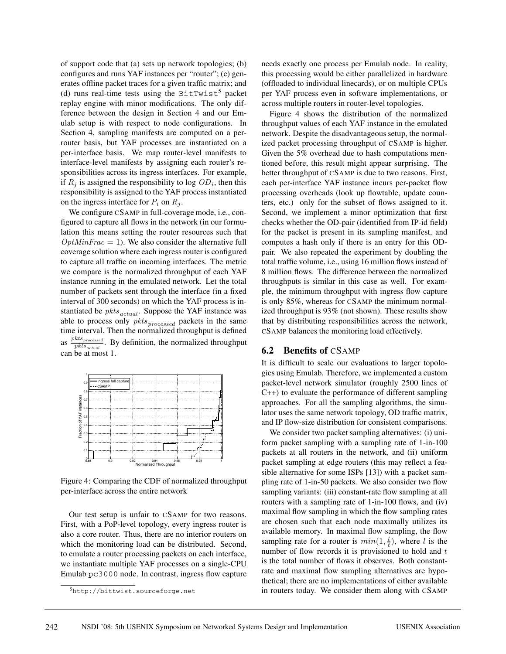of support code that (a) sets up network topologies; (b) configures and runs YAF instances per "router"; (c) generates offline packet traces for a given traffic matrix; and (d) runs real-time tests using the BitTwist<sup>5</sup> packet replay engine with minor modifications. The only difference between the design in Section 4 and our Emulab setup is with respect to node configurations. In Section 4, sampling manifests are computed on a perrouter basis, but YAF processes are instantiated on a per-interface basis. We map router-level manifests to interface-level manifests by assigning each router's responsibilities across its ingress interfaces. For example, if  $R_i$  is assigned the responsibility to log  $OD_i$ , then this responsibility is assigned to the YAF process instantiated on the ingress interface for  $P_i$  on  $R_i$ .

We configure CSAMP in full-coverage mode, i.e., configured to capture all flows in the network (in our formulation this means setting the router resources such that  $OptMinFrac = 1$ . We also consider the alternative full coverage solution where each ingress router is configured to capture all traffic on incoming interfaces. The metric we compare is the normalized throughput of each YAF instance running in the emulated network. Let the total number of packets sent through the interface (in a fixed interval of 300 seconds) on which the YAF process is instantiated be  $pkts_{actual}$ . Suppose the YAF instance was able to process only  $pkts_{processed}$  packets in the same time interval. Then the normalized throughput is defined as  $\frac{pkts_{processed}}{pkts_{actual}}$ . By definition, the normalized throughput can be at most 1.



Figure 4: Comparing the CDF of normalized throughput per-interface across the entire network

Our test setup is unfair to CSAMP for two reasons. First, with a PoP-level topology, every ingress router is also a core router. Thus, there are no interior routers on which the monitoring load can be distributed. Second, to emulate a router processing packets on each interface, we instantiate multiple YAF processes on a single-CPU Emulab pc3000 node. In contrast, ingress flow capture needs exactly one process per Emulab node. In reality, this processing would be either parallelized in hardware (offloaded to individual linecards), or on multiple CPUs per YAF process even in software implementations, or across multiple routers in router-level topologies.

Figure 4 shows the distribution of the normalized throughput values of each YAF instance in the emulated network. Despite the disadvantageous setup, the normalized packet processing throughput of CSAMP is higher. Given the 5% overhead due to hash computations mentioned before, this result might appear surprising. The better throughput of CSAMP is due to two reasons. First, each per-interface YAF instance incurs per-packet flow processing overheads (look up flowtable, update counters, etc.) only for the subset of flows assigned to it. Second, we implement a minor optimization that first checks whether the OD-pair (identified from IP-id field) for the packet is present in its sampling manifest, and computes a hash only if there is an entry for this ODpair. We also repeated the experiment by doubling the total traffic volume, i.e., using 16 million flows instead of 8 million flows. The difference between the normalized throughputs is similar in this case as well. For example, the minimum throughput with ingress flow capture is only 85%, whereas for CSAMP the minimum normalized throughput is 93% (not shown). These results show that by distributing responsibilities across the network, CSAMP balances the monitoring load effectively.

#### **6.2 Benefits of** CSAMP

It is difficult to scale our evaluations to larger topologies using Emulab. Therefore, we implemented a custom packet-level network simulator (roughly 2500 lines of C++) to evaluate the performance of different sampling approaches. For all the sampling algorithms, the simulator uses the same network topology, OD traffic matrix, and IP flow-size distribution for consistent comparisons.

We consider two packet sampling alternatives: (i) uniform packet sampling with a sampling rate of 1-in-100 packets at all routers in the network, and (ii) uniform packet sampling at edge routers (this may reflect a feasible alternative for some ISPs [13]) with a packet sampling rate of 1-in-50 packets. We also consider two flow sampling variants: (iii) constant-rate flow sampling at all routers with a sampling rate of 1-in-100 flows, and (iv) maximal flow sampling in which the flow sampling rates are chosen such that each node maximally utilizes its available memory. In maximal flow sampling, the flow sampling rate for a router is  $min(1, \frac{l}{t})$ , where l is the number of flow records it is provisioned to hold and  $t$ is the total number of flows it observes. Both constantrate and maximal flow sampling alternatives are hypothetical; there are no implementations of either available in routers today. We consider them along with CSAMP

<sup>5</sup>http://bittwist.sourceforge.net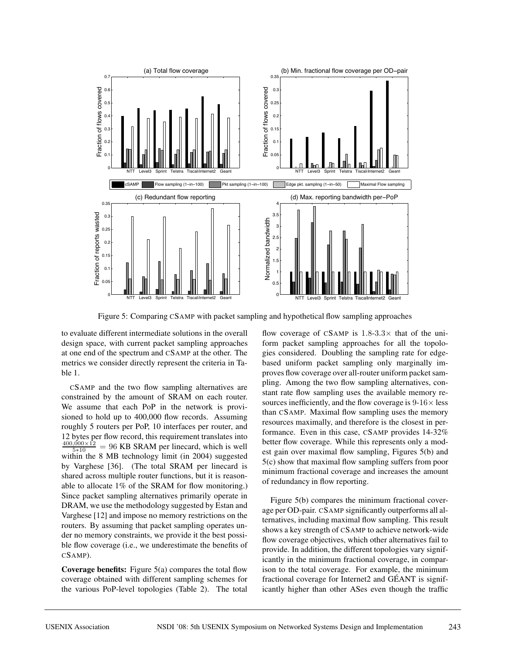

Figure 5: Comparing CSAMP with packet sampling and hypothetical flow sampling approaches

to evaluate different intermediate solutions in the overall design space, with current packet sampling approaches at one end of the spectrum and CSAMP at the other. The metrics we consider directly represent the criteria in Table 1.

CSAMP and the two flow sampling alternatives are constrained by the amount of SRAM on each router. We assume that each PoP in the network is provisioned to hold up to 400,000 flow records. Assuming roughly 5 routers per PoP, 10 interfaces per router, and 12 bytes per flow record, this requirement translates into  $\frac{400,000 \times 12}{5 * 10} = 96$  KB SRAM per linecard, which is well within the 8 MB technology limit (in 2004) suggested by Varghese [36]. (The total SRAM per linecard is shared across multiple router functions, but it is reasonable to allocate 1% of the SRAM for flow monitoring.) Since packet sampling alternatives primarily operate in DRAM, we use the methodology suggested by Estan and Varghese [12] and impose no memory restrictions on the routers. By assuming that packet sampling operates under no memory constraints, we provide it the best possible flow coverage (i.e., we underestimate the benefits of CSAMP).

**Coverage benefits:** Figure 5(a) compares the total flow coverage obtained with different sampling schemes for the various PoP-level topologies (Table 2). The total

flow coverage of CSAMP is  $1.8-3.3\times$  that of the uniform packet sampling approaches for all the topologies considered. Doubling the sampling rate for edgebased uniform packet sampling only marginally improves flow coverage over all-router uniform packet sampling. Among the two flow sampling alternatives, constant rate flow sampling uses the available memory resources inefficiently, and the flow coverage is  $9-16\times$  less than CSAMP. Maximal flow sampling uses the memory resources maximally, and therefore is the closest in performance. Even in this case, CSAMP provides 14-32% better flow coverage. While this represents only a modest gain over maximal flow sampling, Figures 5(b) and 5(c) show that maximal flow sampling suffers from poor minimum fractional coverage and increases the amount of redundancy in flow reporting.

Figure 5(b) compares the minimum fractional coverage per OD-pair. CSAMP significantly outperforms all alternatives, including maximal flow sampling. This result shows a key strength of CSAMP to achieve network-wide flow coverage objectives, which other alternatives fail to provide. In addition, the different topologies vary significantly in the minimum fractional coverage, in comparison to the total coverage. For example, the minimum fractional coverage for Internet2 and GEANT is signif- ´ icantly higher than other ASes even though the traffic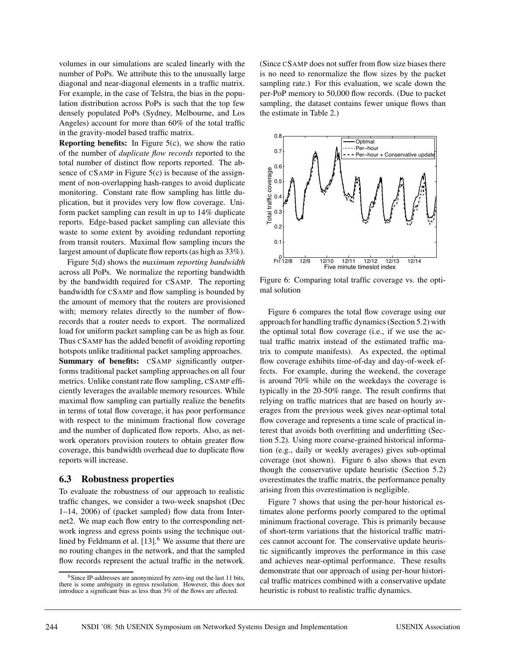volumes in our simulations are scaled linearly with the number of PoPs. We attribute this to the unusually large diagonal and near-diagonal elements in a traffic matrix. For example, in the case of Telstra, the bias in the population distribution across PoPs is such that the top few densely populated PoPs (Sydney, Melbourne, and Los Angeles) account for more than 60% of the total traffic in the gravity-model based traffic matrix.

**Reporting benefits:** In Figure 5(c), we show the ratio of the number of *duplicate flow records* reported to the total number of distinct flow reports reported. The absence of  $CSAMP$  in Figure  $5(c)$  is because of the assignment of non-overlapping hash-ranges to avoid duplicate monitoring. Constant rate flow sampling has little duplication, but it provides very low flow coverage. Uniform packet sampling can result in up to 14% duplicate reports. Edge-based packet sampling can alleviate this waste to some extent by avoiding redundant reporting from transit routers. Maximal flow sampling incurs the largest amount of duplicate flow reports (as high as 33%).

Figure 5(d) shows the *maximum reporting bandwidth* across all PoPs. We normalize the reporting bandwidth by the bandwidth required for CSAMP. The reporting bandwidth for CSAMP and flow sampling is bounded by the amount of memory that the routers are provisioned with; memory relates directly to the number of flowrecords that a router needs to export. The normalized load for uniform packet sampling can be as high as four. Thus CSAMP has the added benefit of avoiding reporting hotspots unlike traditional packet sampling approaches. **Summary of benefits:** CSAMP significantly outperforms traditional packet sampling approaches on all four metrics. Unlike constant rate flow sampling, CSAMP efficiently leverages the available memory resources. While maximal flow sampling can partially realize the benefits in terms of total flow coverage, it has poor performance with respect to the minimum fractional flow coverage and the number of duplicated flow reports. Also, as network operators provision routers to obtain greater flow coverage, this bandwidth overhead due to duplicate flow reports will increase.

#### **6.3 Robustness properties**

To evaluate the robustness of our approach to realistic traffic changes, we consider a two-week snapshot (Dec 1–14, 2006) of (packet sampled) flow data from Internet2. We map each flow entry to the corresponding network ingress and egress points using the technique outlined by Feldmann et al.  $[13]$ <sup>6</sup> We assume that there are no routing changes in the network, and that the sampled flow records represent the actual traffic in the network. (Since CSAMP does not suffer from flow size biases there is no need to renormalize the flow sizes by the packet sampling rate.) For this evaluation, we scale down the per-PoP memory to 50,000 flow records. (Due to packet sampling, the dataset contains fewer unique flows than the estimate in Table 2.)



Figure 6: Comparing total traffic coverage vs. the optimal solution

Figure 6 compares the total flow coverage using our approach for handling traffic dynamics (Section 5.2) with the optimal total flow coverage (i.e., if we use the actual traffic matrix instead of the estimated traffic matrix to compute manifests). As expected, the optimal flow coverage exhibits time-of-day and day-of-week effects. For example, during the weekend, the coverage is around 70% while on the weekdays the coverage is typically in the 20-50% range. The result confirms that relying on traffic matrices that are based on hourly averages from the previous week gives near-optimal total flow coverage and represents a time scale of practical interest that avoids both overfitting and underfitting (Section 5.2). Using more coarse-grained historical information (e.g., daily or weekly averages) gives sub-optimal coverage (not shown). Figure 6 also shows that even though the conservative update heuristic (Section 5.2) overestimates the traffic matrix, the performance penalty arising from this overestimation is negligible.

Figure 7 shows that using the per-hour historical estimates alone performs poorly compared to the optimal minimum fractional coverage. This is primarily because of short-term variations that the historical traffic matrices cannot account for. The conservative update heuristic significantly improves the performance in this case and achieves near-optimal performance. These results demonstrate that our approach of using per-hour historical traffic matrices combined with a conservative update heuristic is robust to realistic traffic dynamics.

<sup>&</sup>lt;sup>6</sup>Since IP-addresses are anonymized by zero-ing out the last 11 bits, there is some ambiguity in egress resolution. However, this does not introduce a significant bias as less than 3% of the flows are affected.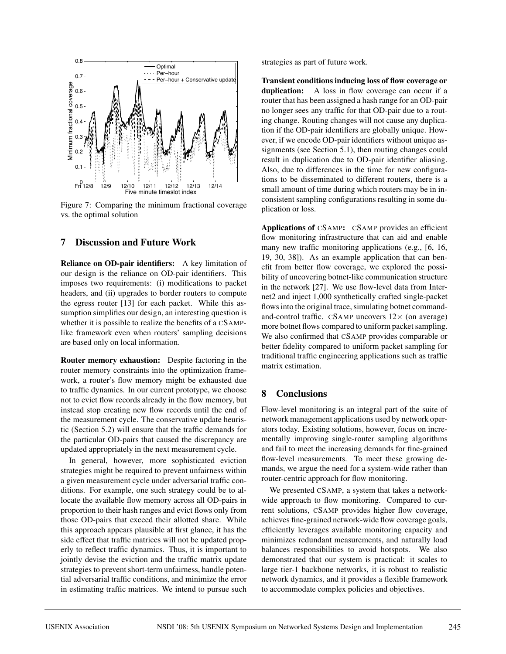

Figure 7: Comparing the minimum fractional coverage vs. the optimal solution

## **7 Discussion and Future Work**

**Reliance on OD-pair identifiers:** A key limitation of our design is the reliance on OD-pair identifiers. This imposes two requirements: (i) modifications to packet headers, and (ii) upgrades to border routers to compute the egress router [13] for each packet. While this assumption simplifies our design, an interesting question is whether it is possible to realize the benefits of a CSAMPlike framework even when routers' sampling decisions are based only on local information.

**Router memory exhaustion:** Despite factoring in the router memory constraints into the optimization framework, a router's flow memory might be exhausted due to traffic dynamics. In our current prototype, we choose not to evict flow records already in the flow memory, but instead stop creating new flow records until the end of the measurement cycle. The conservative update heuristic (Section 5.2) will ensure that the traffic demands for the particular OD-pairs that caused the discrepancy are updated appropriately in the next measurement cycle.

In general, however, more sophisticated eviction strategies might be required to prevent unfairness within a given measurement cycle under adversarial traffic conditions. For example, one such strategy could be to allocate the available flow memory across all OD-pairs in proportion to their hash ranges and evict flows only from those OD-pairs that exceed their allotted share. While this approach appears plausible at first glance, it has the side effect that traffic matrices will not be updated properly to reflect traffic dynamics. Thus, it is important to jointly devise the eviction and the traffic matrix update strategies to prevent short-term unfairness, handle potential adversarial traffic conditions, and minimize the error in estimating traffic matrices. We intend to pursue such

strategies as part of future work.

**Transient conditions inducing loss of flow coverage or duplication:** A loss in flow coverage can occur if a router that has been assigned a hash range for an OD-pair no longer sees any traffic for that OD-pair due to a routing change. Routing changes will not cause any duplication if the OD-pair identifiers are globally unique. However, if we encode OD-pair identifiers without unique assignments (see Section 5.1), then routing changes could result in duplication due to OD-pair identifier aliasing. Also, due to differences in the time for new configurations to be disseminated to different routers, there is a small amount of time during which routers may be in inconsistent sampling configurations resulting in some duplication or loss.

**Applications of** CSAMP**:** CSAMP provides an efficient flow monitoring infrastructure that can aid and enable many new traffic monitoring applications (e.g., [6, 16, 19, 30, 38]). As an example application that can benefit from better flow coverage, we explored the possibility of uncovering botnet-like communication structure in the network [27]. We use flow-level data from Internet2 and inject 1,000 synthetically crafted single-packet flows into the original trace, simulating botnet commandand-control traffic. CSAMP uncovers  $12\times$  (on average) more botnet flows compared to uniform packet sampling. We also confirmed that CSAMP provides comparable or better fidelity compared to uniform packet sampling for traditional traffic engineering applications such as traffic matrix estimation.

### **8 Conclusions**

Flow-level monitoring is an integral part of the suite of network management applications used by network operators today. Existing solutions, however, focus on incrementally improving single-router sampling algorithms and fail to meet the increasing demands for fine-grained flow-level measurements. To meet these growing demands, we argue the need for a system-wide rather than router-centric approach for flow monitoring.

We presented CSAMP, a system that takes a networkwide approach to flow monitoring. Compared to current solutions, CSAMP provides higher flow coverage, achieves fine-grained network-wide flow coverage goals, efficiently leverages available monitoring capacity and minimizes redundant measurements, and naturally load balances responsibilities to avoid hotspots. We also demonstrated that our system is practical: it scales to large tier-1 backbone networks, it is robust to realistic network dynamics, and it provides a flexible framework to accommodate complex policies and objectives.